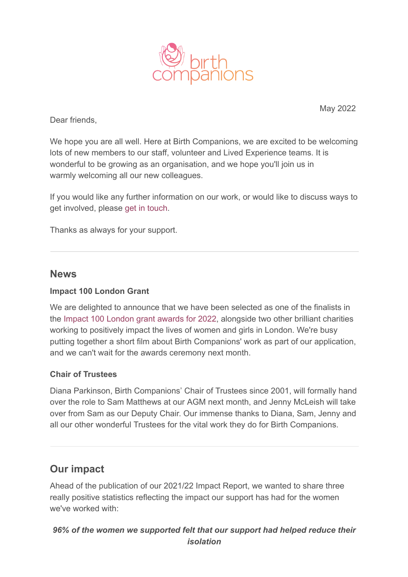

May 2022

Dear friends,

We hope you are all well. Here at Birth Companions, we are excited to be welcoming lots of new members to our staff, volunteer and Lived Experience teams. It is wonderful to be growing as an organisation, and we hope you'll join us in warmly welcoming all our new colleagues.

If you would like any further information on our work, or would like to discuss ways to get involved, please [get in touch](mailto:info@birthcompanions.org.uk).

Thanks as always for your support.

### **News**

#### **Impact 100 London Grant**

We are delighted to announce that we have been selected as one of the finalists in the [Impact 100 London grant awards for 2022,](http://www.impact100london.org/) alongside two other brilliant charities working to positively impact the lives of women and girls in London. We're busy putting together a short film about Birth Companions' work as part of our application, and we can't wait for the awards ceremony next month.

#### **Chair of Trustees**

Diana Parkinson, Birth Companions' Chair of Trustees since 2001, will formally hand over the role to Sam Matthews at our AGM next month, and Jenny McLeish will take over from Sam as our Deputy Chair. Our immense thanks to Diana, Sam, Jenny and all our other wonderful Trustees for the vital work they do for Birth Companions.

## **Our impact**

Ahead of the publication of our 2021/22 Impact Report, we wanted to share three really positive statistics reflecting the impact our support has had for the women we've worked with:

*96% of the women we supported felt that our support had helped reduce their isolation*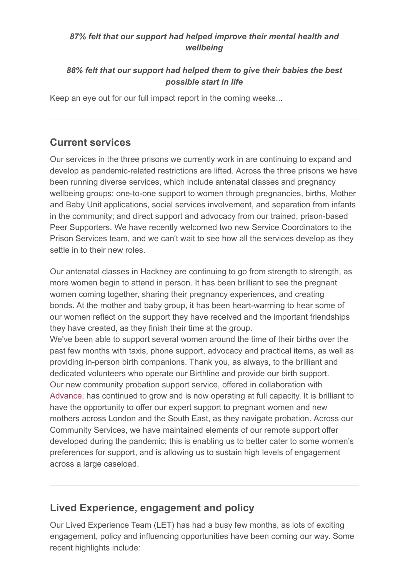### *87% felt that our support had helped improve their mental health and wellbeing*

## *88% felt that our support had helped them to give their babies the best possible start in life*

Keep an eye out for our full impact report in the coming weeks...

# **Current services**

Our services in the three prisons we currently work in are continuing to expand and develop as pandemic-related restrictions are lifted. Across the three prisons we have been running diverse services, which include antenatal classes and pregnancy wellbeing groups; one-to-one support to women through pregnancies, births, Mother and Baby Unit applications, social services involvement, and separation from infants in the community; and direct support and advocacy from our trained, prison-based Peer Supporters. We have recently welcomed two new Service Coordinators to the Prison Services team, and we can't wait to see how all the services develop as they settle in to their new roles.

Our antenatal classes in Hackney are continuing to go from strength to strength, as more women begin to attend in person. It has been brilliant to see the pregnant women coming together, sharing their pregnancy experiences, and creating bonds. At the mother and baby group, it has been heart-warming to hear some of our women reflect on the support they have received and the important friendships they have created, as they finish their time at the group.

We've been able to support several women around the time of their births over the past few months with taxis, phone support, advocacy and practical items, as well as providing in-person birth companions. Thank you, as always, to the brilliant and dedicated volunteers who operate our Birthline and provide our birth support. Our new community probation support service, offered in collaboration with [Advance,](http://www.advancecharity.org.uk/) has continued to grow and is now operating at full capacity. It is brilliant to have the opportunity to offer our expert support to pregnant women and new mothers across London and the South East, as they navigate probation. Across our Community Services, we have maintained elements of our remote support offer developed during the pandemic; this is enabling us to better cater to some women's preferences for support, and is allowing us to sustain high levels of engagement across a large caseload.

# **Lived Experience, engagement and policy**

Our Lived Experience Team (LET) has had a busy few months, as lots of exciting engagement, policy and influencing opportunities have been coming our way. Some recent highlights include: